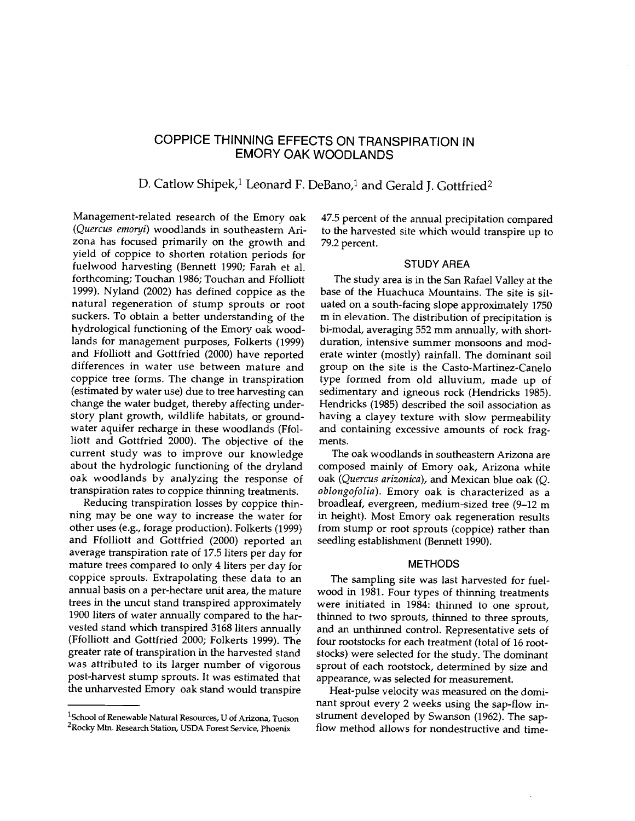# COPPICE THINNING EFFECTS ON TRANSPIRATION IN EMORY OAK WOODLANDS

# D. Catlow Shipek,<sup>1</sup> Leonard F. DeBano,<sup>1</sup> and Gerald J. Gottfried<sup>2</sup>

Management-related research of the Emory oak (Quercus emoryi) woodlands in southeastern Arizona has focused primarily on the growth and yield of coppice to shorten rotation periods for fuelwood harvesting (Bennett 1990; Farah et al. forthcoming; Touchan 1986; Touchan and Ffolliott 1999). Nyland (2002) has defined coppice as the natural regeneration of stump sprouts or root suckers. To obtain a better understanding of the hydrological functioning of the Emory oak woodlands for management purposes, Folkerts (1999) and Ffolliott and Gottfried (2000) have reported differences in water use between mature and coppice tree forms. The change in transpiration (estimated by water use) due to tree harvesting can change the water budget, thereby affecting under-<br>story plant growth, wildlife habitats, or groundwater aquifer recharge in these woodlands (Ffolliott and Gottfried 2000). The objective of the current study was to improve our knowledge about the hydrologic functioning of the dryland oak woodlands by analyzing the response of transpiration rates to coppice thinning treatments.

Reducing transpiration losses by coppice thinning may be one way to increase the water for other uses (e.g., forage production). Folkerts (1999) and Ffolliott and Gottfried (2000) reported an average transpiration rate of 17.5 liters per day for mature trees compared to only 4 liters per day for coppice sprouts. Extrapolating these data to an annual basis on a per -hectare unit area, the mature trees in the uncut stand transpired approximately 1900 liters of water annually compared to the harvested stand which transpired 3168 liters annually (Ffolliott and Gottfried 2000; Folkerts 1999). The greater rate of transpiration in the harvested stand was attributed to its larger number of vigorous post -harvest stump sprouts. It was estimated that the unharvested Emory oak stand would transpire

47.5 percent of the annual precipitation compared to the harvested site which would transpire up to 79.2 percent.

## STUDY AREA

The study area is in the San Rafael Valley at the base of the Huachuca Mountains. The site is situated on a south -facing slope approximately 1750 m in elevation. The distribution of precipitation is bi- modal, averaging 552 mm annually, with short duration, intensive summer monsoons and moderate winter (mostly) rainfall. The dominant soil group on the site is the Casto-Martinez-Canelo type formed from old alluvium, made up of sedimentary and igneous rock (Hendricks 1985). Hendricks (1985) described the soil association as having a clayey texture with slow permeability and containing excessive amounts of rock fragments.

The oak woodlands in southeastern Arizona are composed mainly of Emory oak, Arizona white oak (Quercus arizonica), and Mexican blue oak (Q. oblongofolia). Emory oak is characterized as a broadleaf, evergreen, medium-sized tree (9-12 m in height). Most Emory oak regeneration results from stump or root sprouts (coppice) rather than seedling establishment (Bennett 1990).

#### METHODS

The sampling site was last harvested for fuel wood in 1981. Four types of thinning treatments were initiated in 1984: thinned to one sprout, thinned to two sprouts, thinned to three sprouts, and an unthinned control. Representative sets of four rootstocks for each treatment (total of 16 rootstocks) were selected for the study. The dominant sprout of each rootstock, determined by size and appearance, was selected for measurement.

Heat-pulse velocity was measured on the dominant sprout every 2 weeks using the sap-flow instrument developed by Swanson (1962). The sap flow method allows for nondestructive and time-

 $1$ School of Renewable Natural Resources, U of Arizona, Tucson <sup>2</sup>Rocky Mtn. Research Station, USDA Forest Service, Phoenix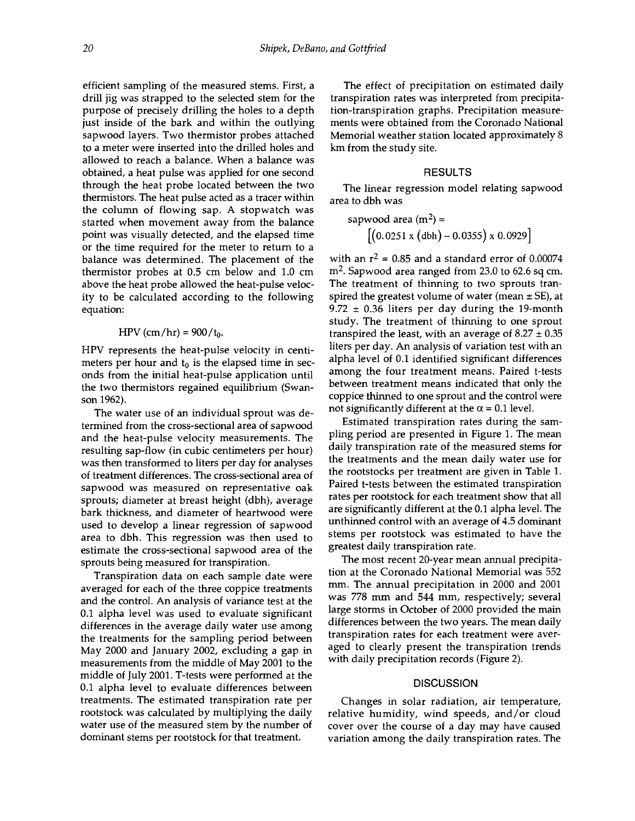efficient sampling of the measured stems. First, a drill jig was strapped to the selected stem for the purpose of precisely drilling the holes to a depth just inside of the bark and within the outlying sapwood layers. Two thermistor probes attached to a meter were inserted into the drilled holes and allowed to reach a balance. When a balance was obtained, a heat pulse was applied for one second through the heat probe located between the two thermistors. The heat pulse acted as a tracer within the column of flowing sap. A stopwatch was<br>started when movement away from the balance started when movement away from the balance point was visually detected, and the elapsed time or the time required for the meter to return to a balance was determined. The placement of the thermistor probes at 0.5 cm below and 1.0 cm above the heat probe allowed the heat-pulse velocity to be calculated according to the following equation:

#### HPV (cm/hr) =  $900/t_0$ .

HPV represents the heat-pulse velocity in centimeters per hour and  $t_0$  is the elapsed time in seconds from the initial heat-pulse application until the two thermistors regained equilibrium (Swanson 1962).

The water use of an individual sprout was determined from the cross -sectional area of sapwood and the heat-pulse velocity measurements. The resulting sap-flow (in cubic centimeters per hour) was then transformed to liters per day for analyses of treatment differences. The cross -sectional area of sapwood was measured on representative oak sprouts; diameter at breast height (dbh), average bark thickness, and diameter of heartwood were used to develop a linear regression of sapwood area to dbh. This regression was then used to estimate the cross-sectional sapwood area of the sprouts being measured for transpiration.

Transpiration data on each sample date were averaged for each of the three coppice treatments and the control. An analysis of variance test at the 0.1 alpha level was used to evaluate significant differences in the average daily water use among the treatments for the sampling period between May 2000 and January 2002, excluding a gap in measurements from the middle of May 2001 to the middle of July 2001. T -tests were performed at the 0.1 alpha level to evaluate differences between treatments. The estimated transpiration rate per rootstock was calculated by multiplying the daily water use of the measured stem by the number of dominant stems per rootstock for that treatment.

The effect of precipitation on estimated daily transpiration rates was interpreted from precipitation- transpiration graphs. Precipitation measurements were obtained from the Coronado National Memorial weather station located approximately 8 km from the study site.

#### RESULTS

The linear regression model relating sapwood area to dbh was

$$
sapwood area (m2) = [(0.0251 x (dbh) - 0.0355) x 0.0929]
$$

with an  $r^2 = 0.85$  and a standard error of 0.00074 m2. Sapwood area ranged from 23.0 to 62.6 sq cm. The treatment of thinning to two sprouts transpired the greatest volume of water (mean  $\pm$  SE), at  $9.72 \pm 0.36$  liters per day during the 19-month study. The treatment of thinning to one sprout transpired the least, with an average of  $8.27 \pm 0.35$ liters per day. An analysis of variation test with an alpha level of 0.1 identified significant differences among the four treatment means. Paired t-tests between treatment means indicated that only the coppice thinned to one sprout and the control were not significantly different at the  $\alpha$  = 0.1 level.

Estimated transpiration rates during the sampling period are presented in Figure 1. The mean daily transpiration rate of the measured stems for the treatments and the mean daily water use for the rootstocks per treatment are given in Table 1. Paired t-tests between the estimated transpiration rates per rootstock for each treatment show that all are significantly different at the 0.1 alpha level. The unthinned control with an average of 4.5 dominant stems per rootstock was estimated to have the greatest daily transpiration rate.

The most recent 20-year mean annual precipitation at the Coronado National Memorial was 552 mm. The annual precipitation in 2000 and 2001 was 778 mm and 544 mm, respectively; several large storms in October of 2000 provided the main differences between the two years. The mean daily transpiration rates for each treatment were averaged to clearly present the transpiration trends with daily precipitation records (Figure 2).

### **DISCUSSION**

Changes in solar radiation, air temperature, relative humidity, wind speeds, and /or cloud cover over the course of a day may have caused variation among the daily transpiration rates. The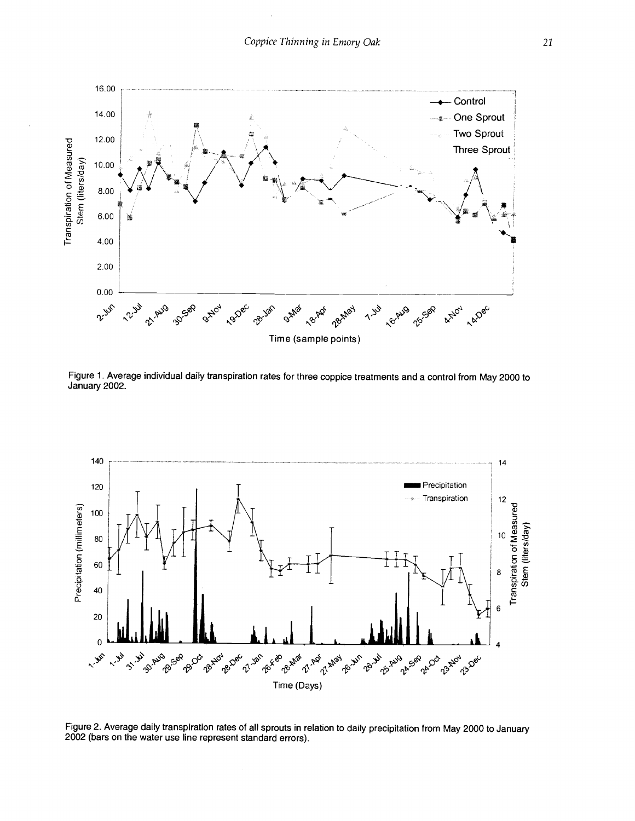

Figure 1. Average individual daily transpiration rates for three coppice treatments and a control from May 2000 to January 2002.



Figure 2. Average daily transpiration rates of all sprouts in relation to daily precipitation from May 2000 to January 2002 (bars on the water use line represent standard errors).